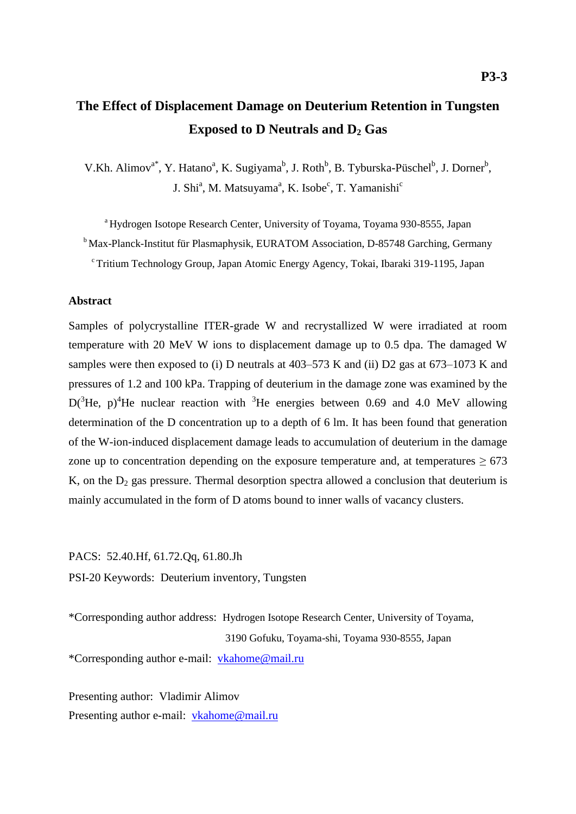# **The Effect of Displacement Damage on Deuterium Retention in Tungsten Exposed to D Neutrals and D<sup>2</sup> Gas**

V.Kh. Alimov<sup>a\*</sup>, Y. Hatano<sup>a</sup>, K. Sugiyama<sup>b</sup>, J. Roth<sup>b</sup>, B. Tyburska-Püschel<sup>b</sup>, J. Dorner<sup>b</sup>, J. Shi<sup>a</sup>, M. Matsuyama<sup>a</sup>, K. Isobe<sup>c</sup>, T. Yamanishi<sup>c</sup>

<sup>a</sup> Hydrogen Isotope Research Center, University of Toyama, Toyama 930-8555, Japan <sup>b</sup> Max-Planck-Institut für Plasmaphysik, EURATOM Association, D-85748 Garching, Germany <sup>c</sup> Tritium Technology Group, Japan Atomic Energy Agency, Tokai, Ibaraki 319-1195, Japan

# **Abstract**

Samples of polycrystalline ITER-grade W and recrystallized W were irradiated at room temperature with 20 MeV W ions to displacement damage up to 0.5 dpa. The damaged W samples were then exposed to (i) D neutrals at 403–573 K and (ii) D2 gas at 673–1073 K and pressures of 1.2 and 100 kPa. Trapping of deuterium in the damage zone was examined by the  $D(^{3}He$ , p)<sup>4</sup>He nuclear reaction with <sup>3</sup>He energies between 0.69 and 4.0 MeV allowing determination of the D concentration up to a depth of 6 lm. It has been found that generation of the W-ion-induced displacement damage leads to accumulation of deuterium in the damage zone up to concentration depending on the exposure temperature and, at temperatures  $\geq 673$ K, on the  $D_2$  gas pressure. Thermal desorption spectra allowed a conclusion that deuterium is mainly accumulated in the form of D atoms bound to inner walls of vacancy clusters.

PACS: 52.40.Hf, 61.72.Qq, 61.80.Jh PSI-20 Keywords: Deuterium inventory, Tungsten

\*Corresponding author address: Hydrogen Isotope Research Center, University of Toyama, 3190 Gofuku, Toyama-shi, Toyama 930-8555, Japan \*Corresponding author e-mail: [vkahome@mail.ru](mailto:vkahome@mail.ru)

Presenting author: Vladimir Alimov Presenting author e-mail: [vkahome@mail.ru](mailto:vkahome@mail.ru)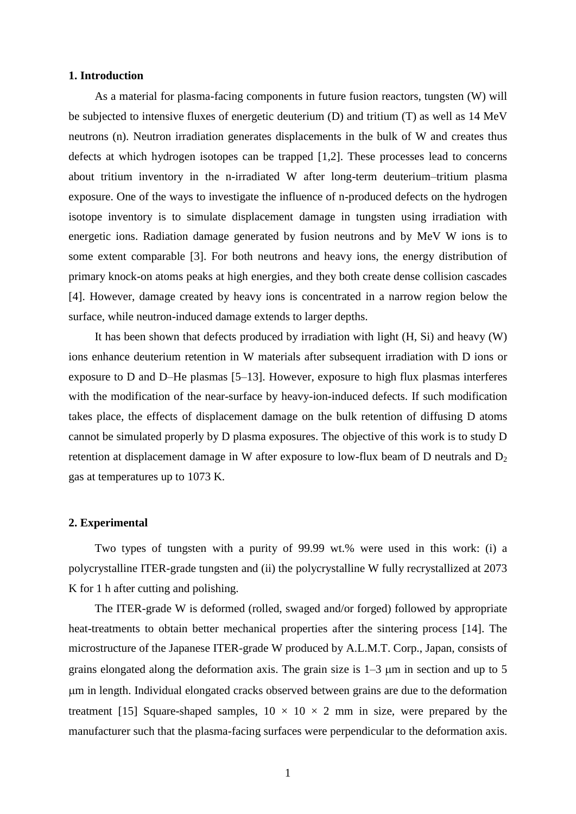# **1. Introduction**

As a material for plasma-facing components in future fusion reactors, tungsten (W) will be subjected to intensive fluxes of energetic deuterium (D) and tritium (T) as well as 14 MeV neutrons (n). Neutron irradiation generates displacements in the bulk of W and creates thus defects at which hydrogen isotopes can be trapped [1,2]. These processes lead to concerns about tritium inventory in the n-irradiated W after long-term deuterium–tritium plasma exposure. One of the ways to investigate the influence of n-produced defects on the hydrogen isotope inventory is to simulate displacement damage in tungsten using irradiation with energetic ions. Radiation damage generated by fusion neutrons and by MeV W ions is to some extent comparable [3]. For both neutrons and heavy ions, the energy distribution of primary knock-on atoms peaks at high energies, and they both create dense collision cascades [4]. However, damage created by heavy ions is concentrated in a narrow region below the surface, while neutron-induced damage extends to larger depths.

It has been shown that defects produced by irradiation with light (H, Si) and heavy (W) ions enhance deuterium retention in W materials after subsequent irradiation with D ions or exposure to D and D–He plasmas [5–13]. However, exposure to high flux plasmas interferes with the modification of the near-surface by heavy-ion-induced defects. If such modification takes place, the effects of displacement damage on the bulk retention of diffusing D atoms cannot be simulated properly by D plasma exposures. The objective of this work is to study D retention at displacement damage in W after exposure to low-flux beam of D neutrals and  $D_2$ gas at temperatures up to 1073 K.

#### **2. Experimental**

Two types of tungsten with a purity of 99.99 wt.% were used in this work: (i) a polycrystalline ITER-grade tungsten and (ii) the polycrystalline W fully recrystallized at 2073 K for 1 h after cutting and polishing.

The ITER-grade W is deformed (rolled, swaged and/or forged) followed by appropriate heat-treatments to obtain better mechanical properties after the sintering process [14]. The microstructure of the Japanese ITER-grade W produced by A.L.M.T. Corp., Japan, consists of grains elongated along the deformation axis. The grain size is  $1-3 \mu m$  in section and up to 5 m in length. Individual elongated cracks observed between grains are due to the deformation treatment [15] Square-shaped samples,  $10 \times 10 \times 2$  mm in size, were prepared by the manufacturer such that the plasma-facing surfaces were perpendicular to the deformation axis.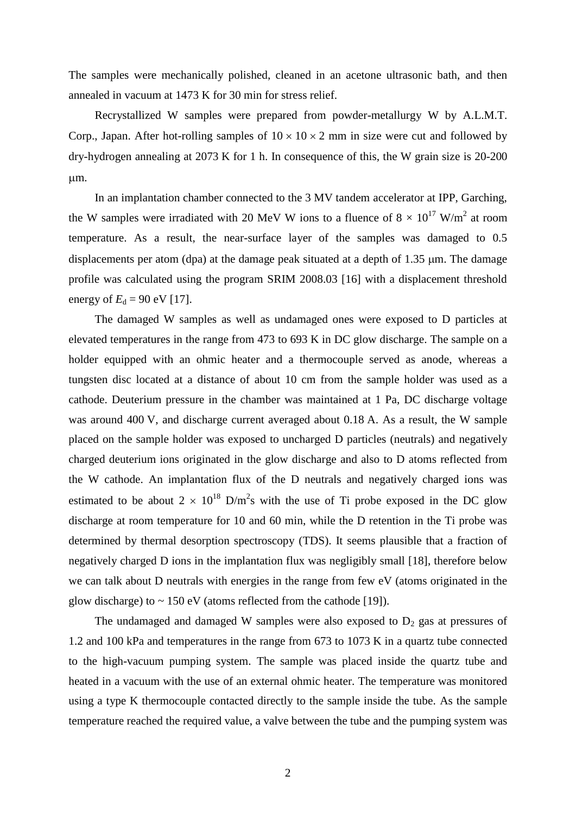The samples were mechanically polished, cleaned in an acetone ultrasonic bath, and then annealed in vacuum at 1473 K for 30 min for stress relief.

Recrystallized W samples were prepared from powder-metallurgy W by A.L.M.T. Corp., Japan. After hot-rolling samples of  $10 \times 10 \times 2$  mm in size were cut and followed by dry-hydrogen annealing at 2073 K for 1 h. In consequence of this, the W grain size is 20-200 um.

In an implantation chamber connected to the 3 MV tandem accelerator at IPP, Garching, the W samples were irradiated with 20 MeV W ions to a fluence of  $8 \times 10^{17}$  W/m<sup>2</sup> at room temperature. As a result, the near-surface layer of the samples was damaged to 0.5 displacements per atom (dpa) at the damage peak situated at a depth of  $1.35 \mu m$ . The damage profile was calculated using the program SRIM 2008.03 [16] with a displacement threshold energy of  $E_d = 90$  eV [17].

The damaged W samples as well as undamaged ones were exposed to D particles at elevated temperatures in the range from 473 to 693 K in DC glow discharge. The sample on a holder equipped with an ohmic heater and a thermocouple served as anode, whereas a tungsten disc located at a distance of about 10 cm from the sample holder was used as a cathode. Deuterium pressure in the chamber was maintained at 1 Pa, DC discharge voltage was around 400 V, and discharge current averaged about 0.18 A. As a result, the W sample placed on the sample holder was exposed to uncharged D particles (neutrals) and negatively charged deuterium ions originated in the glow discharge and also to D atoms reflected from the W cathode. An implantation flux of the D neutrals and negatively charged ions was estimated to be about  $2 \times 10^{18}$  D/m<sup>2</sup>s with the use of Ti probe exposed in the DC glow discharge at room temperature for 10 and 60 min, while the D retention in the Ti probe was determined by thermal desorption spectroscopy (TDS). It seems plausible that a fraction of negatively charged D ions in the implantation flux was negligibly small [18], therefore below we can talk about D neutrals with energies in the range from few eV (atoms originated in the glow discharge) to  $\sim 150 \text{ eV}$  (atoms reflected from the cathode [19]).

The undamaged and damaged W samples were also exposed to  $D_2$  gas at pressures of 1.2 and 100 kPa and temperatures in the range from 673 to 1073 K in a quartz tube connected to the high-vacuum pumping system. The sample was placed inside the quartz tube and heated in a vacuum with the use of an external ohmic heater. The temperature was monitored using a type K thermocouple contacted directly to the sample inside the tube. As the sample temperature reached the required value, a valve between the tube and the pumping system was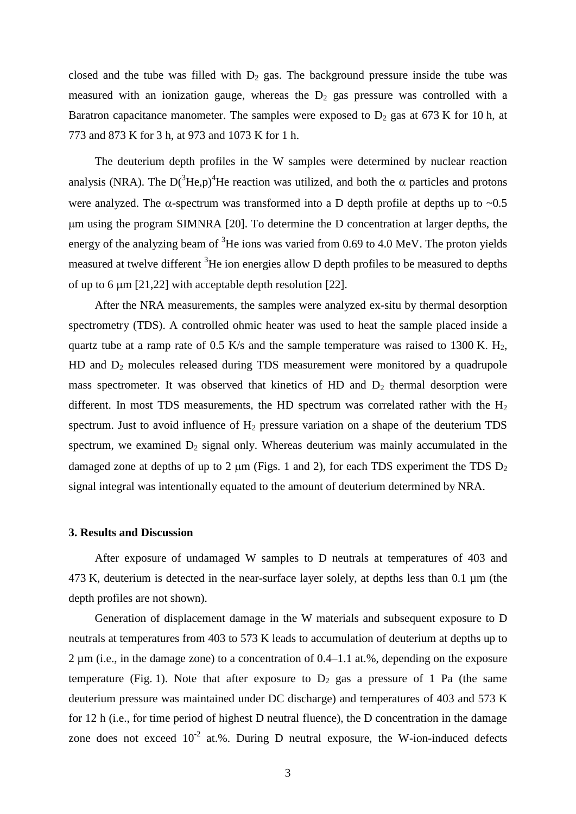closed and the tube was filled with  $D_2$  gas. The background pressure inside the tube was measured with an ionization gauge, whereas the  $D_2$  gas pressure was controlled with a Baratron capacitance manometer. The samples were exposed to  $D_2$  gas at 673 K for 10 h, at 773 and 873 K for 3 h, at 973 and 1073 K for 1 h.

The deuterium depth profiles in the W samples were determined by nuclear reaction analysis (NRA). The  $D(^{3}He,p)^{4}He$  reaction was utilized, and both the  $\alpha$  particles and protons were analyzed. The  $\alpha$ -spectrum was transformed into a D depth profile at depths up to  $\sim 0.5$ μm using the program SIMNRA [20]. To determine the D concentration at larger depths, the energy of the analyzing beam of  ${}^{3}$ He ions was varied from 0.69 to 4.0 MeV. The proton yields measured at twelve different <sup>3</sup>He ion energies allow D depth profiles to be measured to depths of up to 6  $\mu$ m [21,22] with acceptable depth resolution [22].

After the NRA measurements, the samples were analyzed ex-situ by thermal desorption spectrometry (TDS). A controlled ohmic heater was used to heat the sample placed inside a quartz tube at a ramp rate of 0.5 K/s and the sample temperature was raised to 1300 K.  $H_2$ ,  $HD$  and  $D_2$  molecules released during  $TDS$  measurement were monitored by a quadrupole mass spectrometer. It was observed that kinetics of HD and  $D_2$  thermal desorption were different. In most TDS measurements, the HD spectrum was correlated rather with the  $H_2$ spectrum. Just to avoid influence of  $H_2$  pressure variation on a shape of the deuterium TDS spectrum, we examined  $D_2$  signal only. Whereas deuterium was mainly accumulated in the damaged zone at depths of up to 2  $\mu$ m (Figs. 1 and 2), for each TDS experiment the TDS  $D_2$ signal integral was intentionally equated to the amount of deuterium determined by NRA.

#### **3. Results and Discussion**

After exposure of undamaged W samples to D neutrals at temperatures of 403 and 473 K, deuterium is detected in the near-surface layer solely, at depths less than  $0.1 \mu m$  (the depth profiles are not shown).

Generation of displacement damage in the W materials and subsequent exposure to D neutrals at temperatures from 403 to 573 K leads to accumulation of deuterium at depths up to 2 µm (i.e., in the damage zone) to a concentration of 0.4–1.1 at.%, depending on the exposure temperature (Fig. 1). Note that after exposure to  $D_2$  gas a pressure of 1 Pa (the same deuterium pressure was maintained under DC discharge) and temperatures of 403 and 573 K for 12 h (i.e., for time period of highest D neutral fluence), the D concentration in the damage zone does not exceed  $10^{-2}$  at.%. During D neutral exposure, the W-ion-induced defects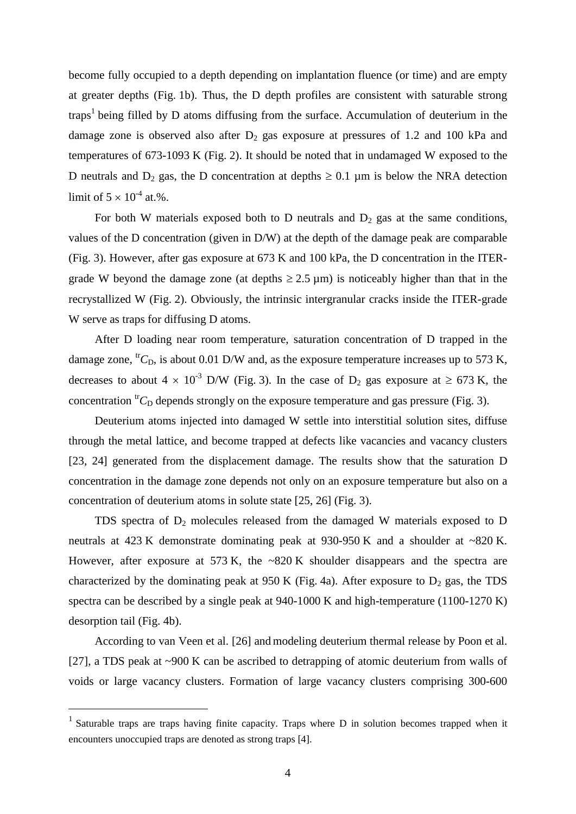become fully occupied to a depth depending on implantation fluence (or time) and are empty at greater depths (Fig. 1b). Thus, the D depth profiles are consistent with saturable strong traps<sup>1</sup> being filled by D atoms diffusing from the surface. Accumulation of deuterium in the damage zone is observed also after  $D_2$  gas exposure at pressures of 1.2 and 100 kPa and temperatures of 673-1093 K (Fig. 2). It should be noted that in undamaged W exposed to the D neutrals and D<sub>2</sub> gas, the D concentration at depths  $\geq 0.1$  um is below the NRA detection limit of  $5 \times 10^{-4}$  at.%.

For both W materials exposed both to D neutrals and  $D_2$  gas at the same conditions, values of the D concentration (given in D/W) at the depth of the damage peak are comparable (Fig. 3). However, after gas exposure at 673 K and 100 kPa, the D concentration in the ITERgrade W beyond the damage zone (at depths  $\geq 2.5 \,\mu$ m) is noticeably higher than that in the recrystallized W (Fig. 2). Obviously, the intrinsic intergranular cracks inside the ITER-grade W serve as traps for diffusing D atoms.

After D loading near room temperature, saturation concentration of D trapped in the damage zone,  ${}^{tr}C_D$ , is about 0.01 D/W and, as the exposure temperature increases up to 573 K, decreases to about  $4 \times 10^{-3}$  D/W (Fig. 3). In the case of D<sub>2</sub> gas exposure at  $\geq 673$  K, the concentration  ${}^{tr}C_D$  depends strongly on the exposure temperature and gas pressure (Fig. 3).

Deuterium atoms injected into damaged W settle into interstitial solution sites, diffuse through the metal lattice, and become trapped at defects like vacancies and vacancy clusters [23, 24] generated from the displacement damage. The results show that the saturation D concentration in the damage zone depends not only on an exposure temperature but also on a concentration of deuterium atoms in solute state [25, 26] (Fig. 3).

TDS spectra of  $D_2$  molecules released from the damaged W materials exposed to D neutrals at 423 K demonstrate dominating peak at 930-950 K and a shoulder at ~820 K. However, after exposure at 573 K, the ~820 K shoulder disappears and the spectra are characterized by the dominating peak at 950 K (Fig. 4a). After exposure to  $D_2$  gas, the TDS spectra can be described by a single peak at 940-1000 K and high-temperature (1100-1270 K) desorption tail (Fig. 4b).

According to van Veen et al. [26] and modeling deuterium thermal release by Poon et al. [27], a TDS peak at ~900 K can be ascribed to detrapping of atomic deuterium from walls of voids or large vacancy clusters. Formation of large vacancy clusters comprising 300-600

 $\overline{a}$ 

<sup>&</sup>lt;sup>1</sup> Saturable traps are traps having finite capacity. Traps where  $D$  in solution becomes trapped when it encounters unoccupied traps are denoted as strong traps [4].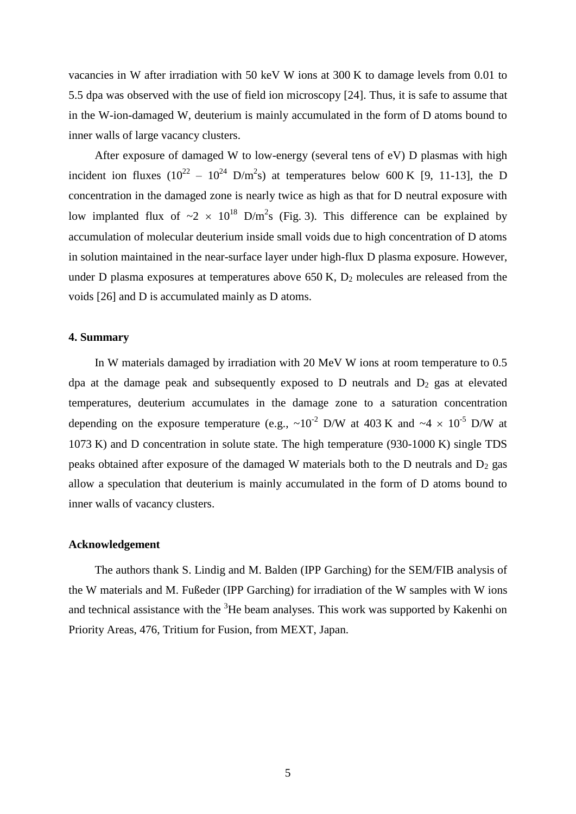vacancies in W after irradiation with 50 keV W ions at 300 K to damage levels from 0.01 to 5.5 dpa was observed with the use of field ion microscopy [24]. Thus, it is safe to assume that in the W-ion-damaged W, deuterium is mainly accumulated in the form of D atoms bound to inner walls of large vacancy clusters.

After exposure of damaged W to low-energy (several tens of eV) D plasmas with high incident ion fluxes ( $10^{22} - 10^{24}$  D/m<sup>2</sup>s) at temperatures below 600 K [9, 11-13], the D concentration in the damaged zone is nearly twice as high as that for D neutral exposure with low implanted flux of  $\sim 2 \times 10^{18}$  D/m<sup>2</sup>s (Fig. 3). This difference can be explained by accumulation of molecular deuterium inside small voids due to high concentration of D atoms in solution maintained in the near-surface layer under high-flux D plasma exposure. However, under D plasma exposures at temperatures above  $650$  K,  $D_2$  molecules are released from the voids [26] and D is accumulated mainly as D atoms.

# **4. Summary**

In W materials damaged by irradiation with 20 MeV W ions at room temperature to 0.5 dpa at the damage peak and subsequently exposed to  $D$  neutrals and  $D_2$  gas at elevated temperatures, deuterium accumulates in the damage zone to a saturation concentration depending on the exposure temperature (e.g.,  $\sim 10^{-2}$  D/W at 403 K and  $\sim 4 \times 10^{-5}$  D/W at 1073 K) and D concentration in solute state. The high temperature (930-1000 K) single TDS peaks obtained after exposure of the damaged W materials both to the D neutrals and  $D_2$  gas allow a speculation that deuterium is mainly accumulated in the form of D atoms bound to inner walls of vacancy clusters.

# **Acknowledgement**

The authors thank S. Lindig and M. Balden (IPP Garching) for the SEM/FIB analysis of the W materials and M. Fußeder (IPP Garching) for irradiation of the W samples with W ions and technical assistance with the  ${}^{3}$ He beam analyses. This work was supported by Kakenhi on Priority Areas, 476, Tritium for Fusion, from MEXT, Japan.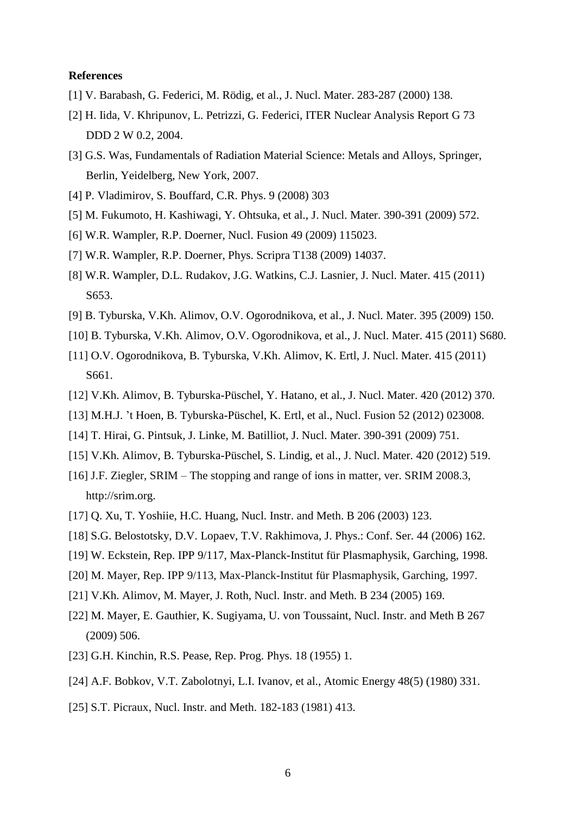# **References**

- [1] V. Barabash, G. Federici, M. Rödig, et al., J. Nucl. Mater. 283-287 (2000) 138.
- [2] H. Iida, V. Khripunov, L. Petrizzi, G. Federici, ITER Nuclear Analysis Report G 73 DDD 2 W 0.2, 2004.
- [3] G.S. Was, Fundamentals of Radiation Material Science: Metals and Alloys, Springer, Berlin, Yeidelberg, New York, 2007.
- [4] P. Vladimirov, S. Bouffard, C.R. Phys. 9 (2008) 303
- [5] M. Fukumoto, H. Kashiwagi, Y. Ohtsuka, et al., J. Nucl. Mater. 390-391 (2009) 572.
- [6] W.R. Wampler, R.P. Doerner, Nucl. Fusion 49 (2009) 115023.
- [7] W.R. Wampler, R.P. Doerner, Phys. Scripra T138 (2009) 14037.
- [8] W.R. Wampler, D.L. Rudakov, J.G. Watkins, C.J. Lasnier, J. Nucl. Mater. 415 (2011) S<sub>653</sub>.
- [9] B. Tyburska, V.Kh. Alimov, O.V. Ogorodnikova, et al., J. Nucl. Mater. 395 (2009) 150.
- [10] B. Tyburska, V.Kh. Alimov, O.V. Ogorodnikova, et al., J. Nucl. Mater. 415 (2011) S680.
- [11] O.V. Ogorodnikova, B. Tyburska, V.Kh. Alimov, K. Ertl, J. Nucl. Mater. 415 (2011) S661.
- [12] V.Kh. Alimov, B. Tyburska-Püschel, Y. Hatano, et al., J. Nucl. Mater. 420 (2012) 370.
- [13] M.H.J. 't Hoen, B. Tyburska-Püschel, K. Ertl, et al., Nucl. Fusion 52 (2012) 023008.
- [14] T. Hirai, G. Pintsuk, J. Linke, M. Batilliot, J. Nucl. Mater. 390-391 (2009) 751.
- [15] V.Kh. Alimov, B. Tyburska-Püschel, S. Lindig, et al., J. Nucl. Mater. 420 (2012) 519.
- [16] J.F. Ziegler, SRIM The stopping and range of ions in matter, ver. SRIM 2008.3, [http://srim.org.](http://srim.org/)
- [17] Q. Xu, T. Yoshiie, H.C. Huang, Nucl. Instr. and Meth. B 206 (2003) 123.
- [18] S.G. Belostotsky, D.V. Lopaev, T.V. Rakhimova, J. Phys.: Conf. Ser. 44 (2006) 162.
- [19] W. Eckstein, Rep. IPP 9/117, Max-Planck-Institut für Plasmaphysik, Garching, 1998.
- [20] M. Mayer, Rep. IPP 9/113, Max-Planck-Institut für Plasmaphysik, Garching, 1997.
- [21] V.Kh. Alimov, M. Mayer, J. Roth, Nucl. Instr. and Meth. B 234 (2005) 169.
- [22] M. Mayer, E. Gauthier, K. Sugiyama, U. von Toussaint, Nucl. Instr. and Meth B 267 (2009) 506.
- [23] G.H. Kinchin, R.S. Pease, Rep. Prog. Phys. 18 (1955) 1.
- [24] A.F. Bobkov, V.T. Zabolotnyi, L.I. Ivanov, et al., Atomic Energy 48(5) (1980) 331.
- [25] S.T. Picraux, Nucl. Instr. and Meth. 182-183 (1981) 413.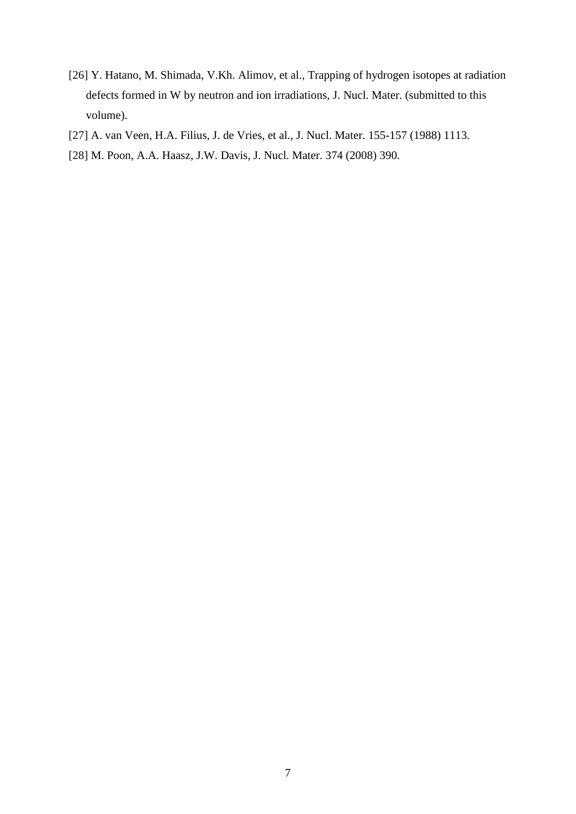- [26] Y. Hatano, M. Shimada, V.Kh. Alimov, et al., Trapping of hydrogen isotopes at radiation defects formed in W by neutron and ion irradiations, J. Nucl. Mater. (submitted to this volume).
- [27] A. van Veen, H.A. Filius, J. de Vries, et al., J. Nucl. Mater. 155-157 (1988) 1113.
- [28] M. Poon, A.A. Haasz, J.W. Davis, J. Nucl. Mater. 374 (2008) 390.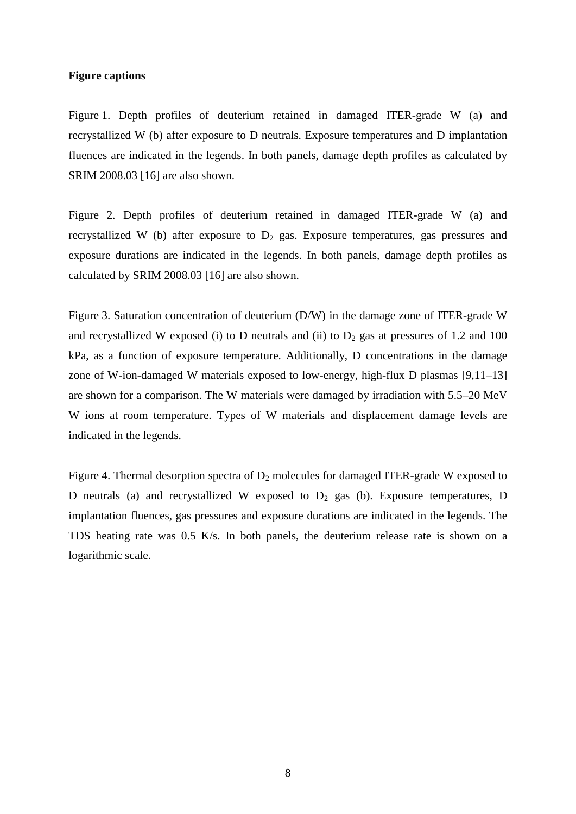# **Figure captions**

Figure 1. Depth profiles of deuterium retained in damaged ITER-grade W (a) and recrystallized W (b) after exposure to D neutrals. Exposure temperatures and D implantation fluences are indicated in the legends. In both panels, damage depth profiles as calculated by SRIM 2008.03 [16] are also shown.

Figure 2. Depth profiles of deuterium retained in damaged ITER-grade W (a) and recrystallized W (b) after exposure to  $D_2$  gas. Exposure temperatures, gas pressures and exposure durations are indicated in the legends. In both panels, damage depth profiles as calculated by SRIM 2008.03 [16] are also shown.

Figure 3. Saturation concentration of deuterium (D/W) in the damage zone of ITER-grade W and recrystallized W exposed (i) to D neutrals and (ii) to  $D_2$  gas at pressures of 1.2 and 100 kPa, as a function of exposure temperature. Additionally, D concentrations in the damage zone of W-ion-damaged W materials exposed to low-energy, high-flux D plasmas [9,11–13] are shown for a comparison. The W materials were damaged by irradiation with 5.5–20 MeV W ions at room temperature. Types of W materials and displacement damage levels are indicated in the legends.

Figure 4. Thermal desorption spectra of  $D_2$  molecules for damaged ITER-grade W exposed to D neutrals (a) and recrystallized W exposed to  $D_2$  gas (b). Exposure temperatures, D implantation fluences, gas pressures and exposure durations are indicated in the legends. The TDS heating rate was 0.5 K/s. In both panels, the deuterium release rate is shown on a logarithmic scale.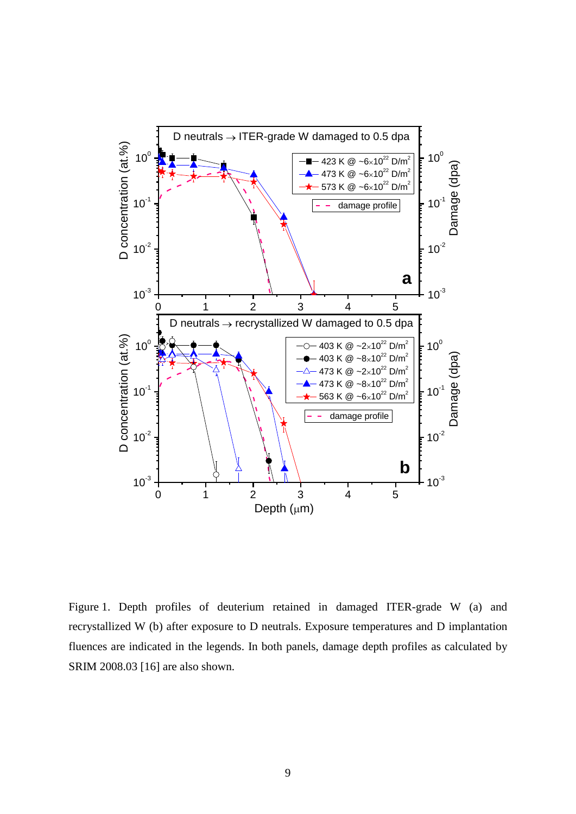

Figure 1. Depth profiles of deuterium retained in damaged ITER-grade W (a) and recrystallized W (b) after exposure to D neutrals. Exposure temperatures and D implantation fluences are indicated in the legends. In both panels, damage depth profiles as calculated by SRIM 2008.03 [16] are also shown.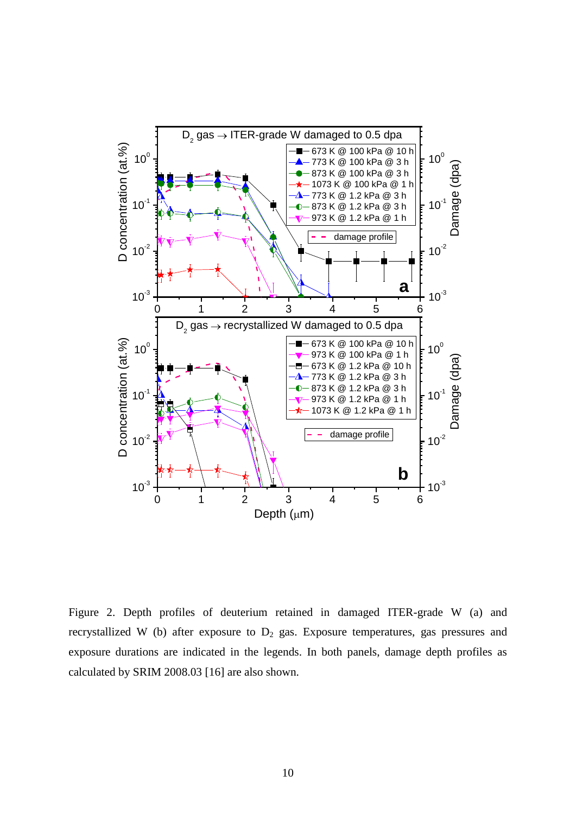

Figure 2. Depth profiles of deuterium retained in damaged ITER-grade W (a) and recrystallized W (b) after exposure to  $D_2$  gas. Exposure temperatures, gas pressures and exposure durations are indicated in the legends. In both panels, damage depth profiles as calculated by SRIM 2008.03 [16] are also shown.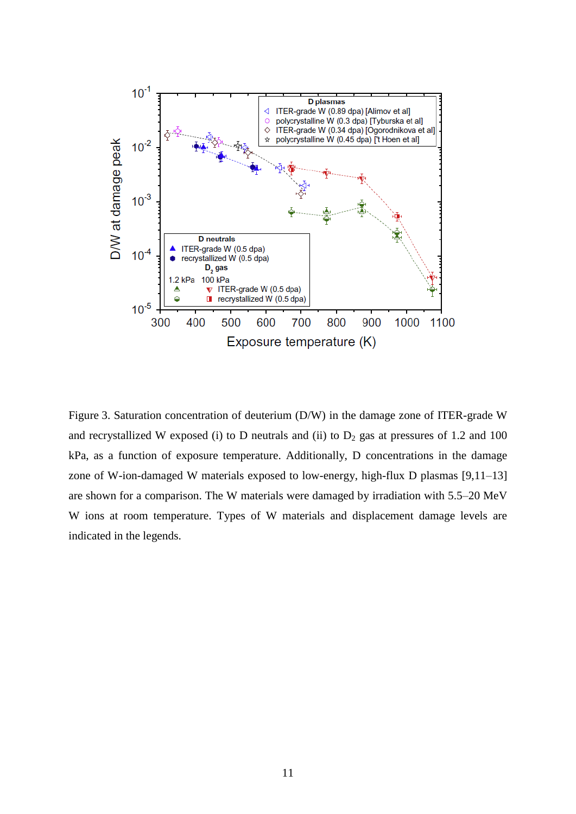

Figure 3. Saturation concentration of deuterium (D/W) in the damage zone of ITER-grade W and recrystallized W exposed (i) to D neutrals and (ii) to  $D_2$  gas at pressures of 1.2 and 100 kPa, as a function of exposure temperature. Additionally, D concentrations in the damage zone of W-ion-damaged W materials exposed to low-energy, high-flux D plasmas [9,11–13] are shown for a comparison. The W materials were damaged by irradiation with 5.5–20 MeV W ions at room temperature. Types of W materials and displacement damage levels are indicated in the legends.